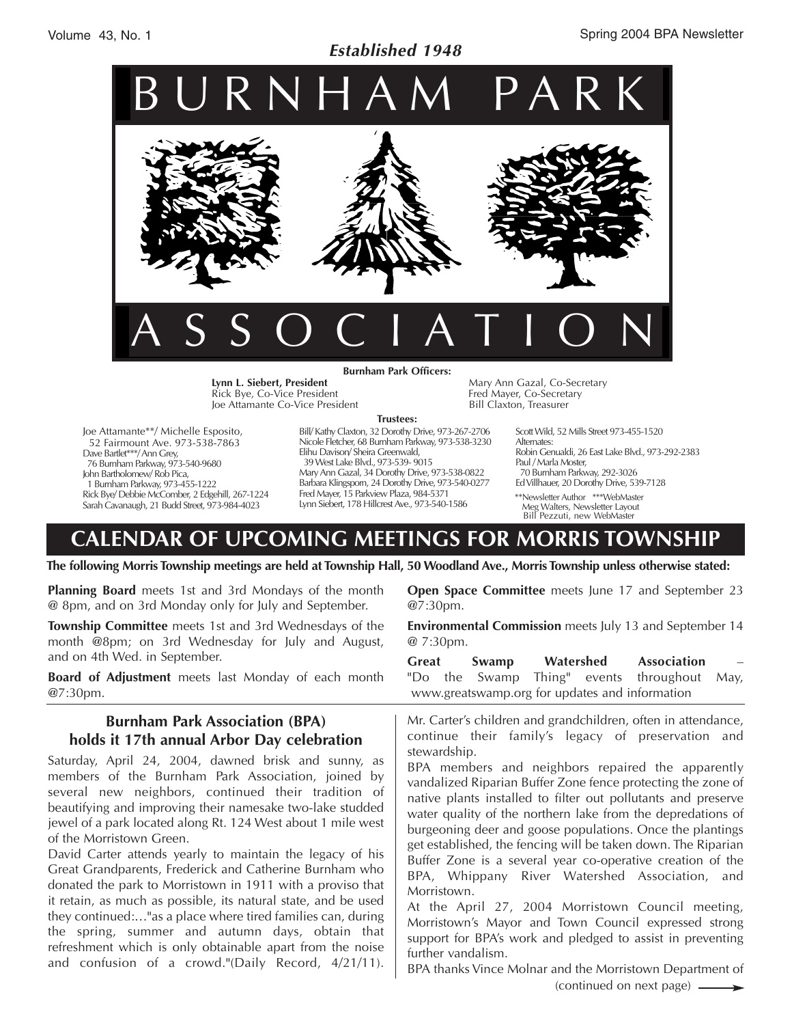## *Established 1948*



**Lynn L. Siebert, President** Rick Bye, Co-Vice President Joe Attamante Co-Vice President

**Trustees:**

Joe Attamante\*\*/ Michelle Esposito, 52 Fairmount Ave. 973-538-7863 Dave Bartlet\*\*\*/ Ann Grey, 76 Burnham Parkway, 973-540-9680 John Bartholomew/ Rob Pica, 1 Burnham Parkway, 973-455-1222 Rick Bye/ Debbie McComber, 2 Edgehill, 267-1224 Sarah Cavanaugh, 21 Budd Street, 973-984-4023

Bill/ Kathy Claxton, 32 Dorothy Drive, 973-267-2706 Nicole Fletcher, 68 Burnham Parkway, 973-538-3230 Elihu Davison/ Sheira Greenwald, 39 West Lake Blvd., 973-539- 9015 Mary Ann Gazal, 34 Dorothy Drive, 973-538-0822 Barbara Klingsporn, 24 Dorothy Drive, 973-540-0277 Fred Mayer, 15 Parkview Plaza, 984-5371 Lynn Siebert, 178 Hillcrest Ave., 973-540-1586

Scott Wild, 52 Mills Street 973-455-1520 Alternates: Robin Genualdi, 26 East Lake Blvd., 973-292-2383 Paul / Marla Moster, 70 Burnham Parkway, 292-3026 Ed Villhauer, 20 Dorothy Drive, 539-7128 \*\*Newsletter Author \*\*\*WebMaster Meg Walters, Newsletter Layout Bill Pezzuti, new WebMaster

# **CALENDAR OF UPCOMING MEETINGS FOR MORRIS TOWNSHIP**

**The following Morris Township meetings are held at Township Hall, 50 Woodland Ave., Morris Township unless otherwise stated:**

**Planning Board** meets 1st and 3rd Mondays of the month @ 8pm, and on 3rd Monday only for July and September.

**Township Committee** meets 1st and 3rd Wednesdays of the month @8pm; on 3rd Wednesday for July and August, and on 4th Wed. in September.

**Board of Adjustment** meets last Monday of each month @7:30pm.

#### **Burnham Park Association (BPA) holds it 17th annual Arbor Day celebration**

Saturday, April 24, 2004, dawned brisk and sunny, as members of the Burnham Park Association, joined by several new neighbors, continued their tradition of beautifying and improving their namesake two-lake studded jewel of a park located along Rt. 124 West about 1 mile west of the Morristown Green.

David Carter attends yearly to maintain the legacy of his Great Grandparents, Frederick and Catherine Burnham who donated the park to Morristown in 1911 with a proviso that it retain, as much as possible, its natural state, and be used they continued:…"as a place where tired families can, during the spring, summer and autumn days, obtain that refreshment which is only obtainable apart from the noise and confusion of a crowd."(Daily Record, 4/21/11).

**Open Space Committee** meets June 17 and September 23 @7:30pm.

Fred Mayer, Co-Secretary Bill Claxton, Treasurer

**Environmental Commission** meets July 13 and September 14 @ 7:30pm.

**Great Swamp Watershed Association** – "Do the Swamp Thing" events throughout May, www.greatswamp.org for updates and information

Mr. Carter's children and grandchildren, often in attendance, continue their family's legacy of preservation and stewardship.

BPA members and neighbors repaired the apparently vandalized Riparian Buffer Zone fence protecting the zone of native plants installed to filter out pollutants and preserve water quality of the northern lake from the depredations of burgeoning deer and goose populations. Once the plantings get established, the fencing will be taken down. The Riparian Buffer Zone is a several year co-operative creation of the BPA, Whippany River Watershed Association, and Morristown.

At the April 27, 2004 Morristown Council meeting, Morristown's Mayor and Town Council expressed strong support for BPA's work and pledged to assist in preventing further vandalism.

BPA thanks Vince Molnar and the Morristown Department of (continued on next page)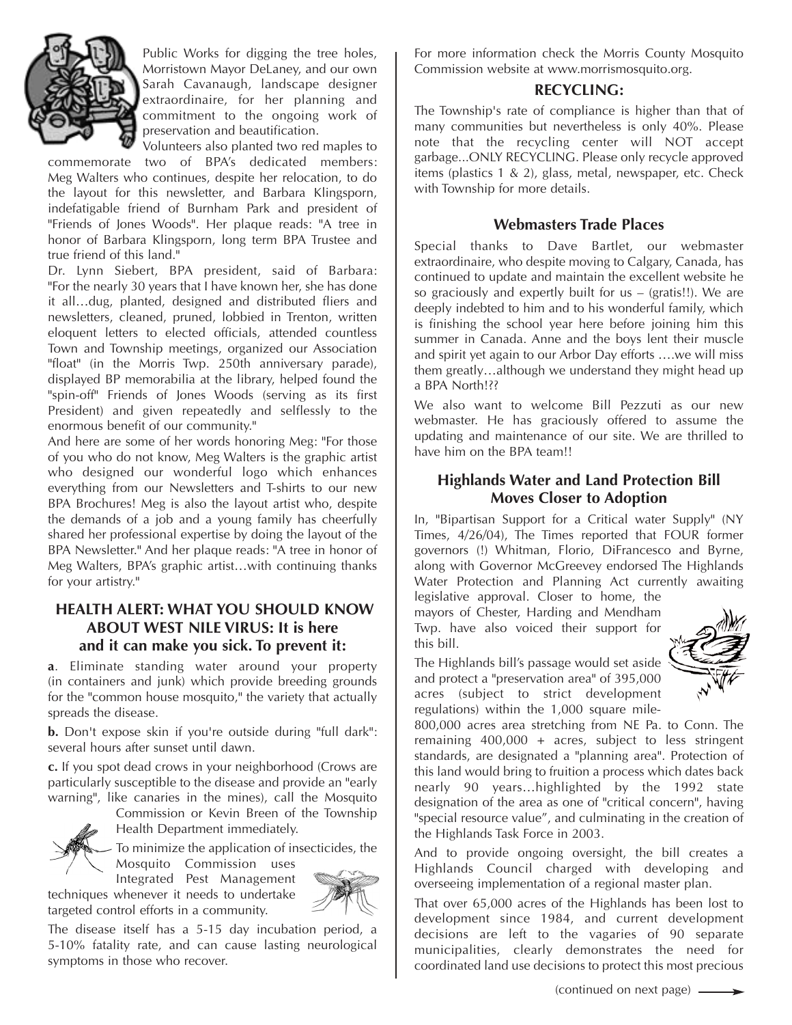

Public Works for digging the tree holes, Morristown Mayor DeLaney, and our own Sarah Cavanaugh, landscape designer extraordinaire, for her planning and commitment to the ongoing work of preservation and beautification.

Volunteers also planted two red maples to

commemorate two of BPA's dedicated members: Meg Walters who continues, despite her relocation, to do the layout for this newsletter, and Barbara Klingsporn, indefatigable friend of Burnham Park and president of "Friends of Jones Woods". Her plaque reads: "A tree in honor of Barbara Klingsporn, long term BPA Trustee and true friend of this land."

Dr. Lynn Siebert, BPA president, said of Barbara: "For the nearly 30 years that I have known her, she has done it all…dug, planted, designed and distributed fliers and newsletters, cleaned, pruned, lobbied in Trenton, written eloquent letters to elected officials, attended countless Town and Township meetings, organized our Association "float" (in the Morris Twp. 250th anniversary parade), displayed BP memorabilia at the library, helped found the "spin-off" Friends of Jones Woods (serving as its first President) and given repeatedly and selflessly to the enormous benefit of our community."

And here are some of her words honoring Meg: "For those of you who do not know, Meg Walters is the graphic artist who designed our wonderful logo which enhances everything from our Newsletters and T-shirts to our new BPA Brochures! Meg is also the layout artist who, despite the demands of a job and a young family has cheerfully shared her professional expertise by doing the layout of the BPA Newsletter." And her plaque reads: "A tree in honor of Meg Walters, BPA's graphic artist…with continuing thanks for your artistry."

## **HEALTH ALERT: WHAT YOU SHOULD KNOW ABOUT WEST NILE VIRUS: It is here and it can make you sick. To prevent it:**

**a**. Eliminate standing water around your property (in containers and junk) which provide breeding grounds for the "common house mosquito," the variety that actually spreads the disease.

**b.** Don't expose skin if you're outside during "full dark": several hours after sunset until dawn.

**c.** If you spot dead crows in your neighborhood (Crows are particularly susceptible to the disease and provide an "early warning", like canaries in the mines), call the Mosquito

Commission or Kevin Breen of the Township



Health Department immediately.

To minimize the application of insecticides, the

Mosquito Commission uses Integrated Pest Management techniques whenever it needs to undertake

targeted control efforts in a community.



The disease itself has a 5-15 day incubation period, a 5-10% fatality rate, and can cause lasting neurological symptoms in those who recover.

For more information check the Morris County Mosquito Commission website at www.morrismosquito.org.

#### **RECYCLING:**

The Township's rate of compliance is higher than that of many communities but nevertheless is only 40%. Please note that the recycling center will NOT accept garbage...ONLY RECYCLING. Please only recycle approved items (plastics 1 & 2), glass, metal, newspaper, etc. Check with Township for more details.

### **Webmasters Trade Places**

Special thanks to Dave Bartlet, our webmaster extraordinaire, who despite moving to Calgary, Canada, has continued to update and maintain the excellent website he so graciously and expertly built for us – (gratis!!). We are deeply indebted to him and to his wonderful family, which is finishing the school year here before joining him this summer in Canada. Anne and the boys lent their muscle and spirit yet again to our Arbor Day efforts ….we will miss them greatly…although we understand they might head up a BPA North!??

We also want to welcome Bill Pezzuti as our new webmaster. He has graciously offered to assume the updating and maintenance of our site. We are thrilled to have him on the BPA team!!

## **Highlands Water and Land Protection Bill Moves Closer to Adoption**

In, "Bipartisan Support for a Critical water Supply" (NY Times, 4/26/04), The Times reported that FOUR former governors (!) Whitman, Florio, DiFrancesco and Byrne, along with Governor McGreevey endorsed The Highlands Water Protection and Planning Act currently awaiting legislative approval. Closer to home, the

mayors of Chester, Harding and Mendham Twp. have also voiced their support for this bill.



The Highlands bill's passage would set aside and protect a "preservation area" of 395,000 acres (subject to strict development regulations) within the 1,000 square mile-

800,000 acres area stretching from NE Pa. to Conn. The remaining 400,000 + acres, subject to less stringent standards, are designated a "planning area". Protection of this land would bring to fruition a process which dates back nearly 90 years…highlighted by the 1992 state designation of the area as one of "critical concern", having "special resource value", and culminating in the creation of the Highlands Task Force in 2003.

And to provide ongoing oversight, the bill creates a Highlands Council charged with developing and overseeing implementation of a regional master plan.

That over 65,000 acres of the Highlands has been lost to development since 1984, and current development decisions are left to the vagaries of 90 separate municipalities, clearly demonstrates the need for coordinated land use decisions to protect this most precious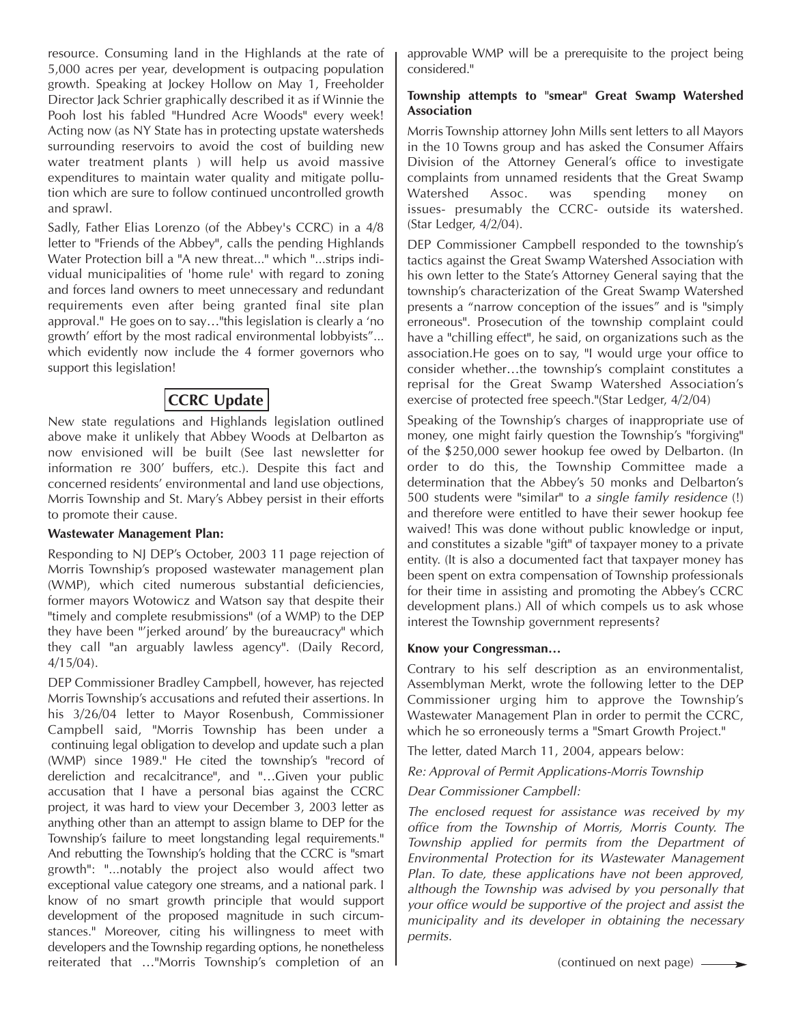resource. Consuming land in the Highlands at the rate of 5,000 acres per year, development is outpacing population growth. Speaking at Jockey Hollow on May 1, Freeholder Director Jack Schrier graphically described it as if Winnie the Pooh lost his fabled "Hundred Acre Woods" every week! Acting now (as NY State has in protecting upstate watersheds surrounding reservoirs to avoid the cost of building new water treatment plants ) will help us avoid massive expenditures to maintain water quality and mitigate pollution which are sure to follow continued uncontrolled growth and sprawl.

Sadly, Father Elias Lorenzo (of the Abbey's CCRC) in a 4/8 letter to "Friends of the Abbey", calls the pending Highlands Water Protection bill a "A new threat..." which "...strips individual municipalities of 'home rule' with regard to zoning and forces land owners to meet unnecessary and redundant requirements even after being granted final site plan approval." He goes on to say…"this legislation is clearly a 'no growth' effort by the most radical environmental lobbyists"... which evidently now include the 4 former governors who support this legislation!

## **CCRC Update**

New state regulations and Highlands legislation outlined above make it unlikely that Abbey Woods at Delbarton as now envisioned will be built (See last newsletter for information re 300' buffers, etc.). Despite this fact and concerned residents' environmental and land use objections, Morris Township and St. Mary's Abbey persist in their efforts to promote their cause.

#### **Wastewater Management Plan:**

Responding to NJ DEP's October, 2003 11 page rejection of Morris Township's proposed wastewater management plan (WMP), which cited numerous substantial deficiencies, former mayors Wotowicz and Watson say that despite their "timely and complete resubmissions" (of a WMP) to the DEP they have been "'jerked around' by the bureaucracy" which they call "an arguably lawless agency". (Daily Record, 4/15/04).

DEP Commissioner Bradley Campbell, however, has rejected Morris Township's accusations and refuted their assertions. In his 3/26/04 letter to Mayor Rosenbush, Commissioner Campbell said, "Morris Township has been under a continuing legal obligation to develop and update such a plan (WMP) since 1989." He cited the township's "record of dereliction and recalcitrance", and "…Given your public accusation that I have a personal bias against the CCRC project, it was hard to view your December 3, 2003 letter as anything other than an attempt to assign blame to DEP for the Township's failure to meet longstanding legal requirements." And rebutting the Township's holding that the CCRC is "smart growth": "...notably the project also would affect two exceptional value category one streams, and a national park. I know of no smart growth principle that would support development of the proposed magnitude in such circumstances." Moreover, citing his willingness to meet with developers and the Township regarding options, he nonetheless reiterated that …"Morris Township's completion of an approvable WMP will be a prerequisite to the project being considered."

#### **Township attempts to "smear" Great Swamp Watershed Association**

Morris Township attorney John Mills sent letters to all Mayors in the 10 Towns group and has asked the Consumer Affairs Division of the Attorney General's office to investigate complaints from unnamed residents that the Great Swamp Watershed Assoc. was spending money on issues- presumably the CCRC- outside its watershed. (Star Ledger, 4/2/04).

DEP Commissioner Campbell responded to the township's tactics against the Great Swamp Watershed Association with his own letter to the State's Attorney General saying that the township's characterization of the Great Swamp Watershed presents a "narrow conception of the issues" and is "simply erroneous". Prosecution of the township complaint could have a "chilling effect", he said, on organizations such as the association.He goes on to say, "I would urge your office to consider whether…the township's complaint constitutes a reprisal for the Great Swamp Watershed Association's exercise of protected free speech."(Star Ledger, 4/2/04)

Speaking of the Township's charges of inappropriate use of money, one might fairly question the Township's "forgiving" of the \$250,000 sewer hookup fee owed by Delbarton. (In order to do this, the Township Committee made a determination that the Abbey's 50 monks and Delbarton's 500 students were "similar" to *a single family residence* (!) and therefore were entitled to have their sewer hookup fee waived! This was done without public knowledge or input, and constitutes a sizable "gift" of taxpayer money to a private entity. (It is also a documented fact that taxpayer money has been spent on extra compensation of Township professionals for their time in assisting and promoting the Abbey's CCRC development plans.) All of which compels us to ask whose interest the Township government represents?

#### **Know your Congressman…**

Contrary to his self description as an environmentalist, Assemblyman Merkt, wrote the following letter to the DEP Commissioner urging him to approve the Township's Wastewater Management Plan in order to permit the CCRC, which he so erroneously terms a "Smart Growth Project."

The letter, dated March 11, 2004, appears below:

*Re: Approval of Permit Applications-Morris Township*

*Dear Commissioner Campbell:*

*The enclosed request for assistance was received by my office from the Township of Morris, Morris County. The Township applied for permits from the Department of Environmental Protection for its Wastewater Management Plan. To date, these applications have not been approved, although the Township was advised by you personally that your office would be supportive of the project and assist the municipality and its developer in obtaining the necessary permits.*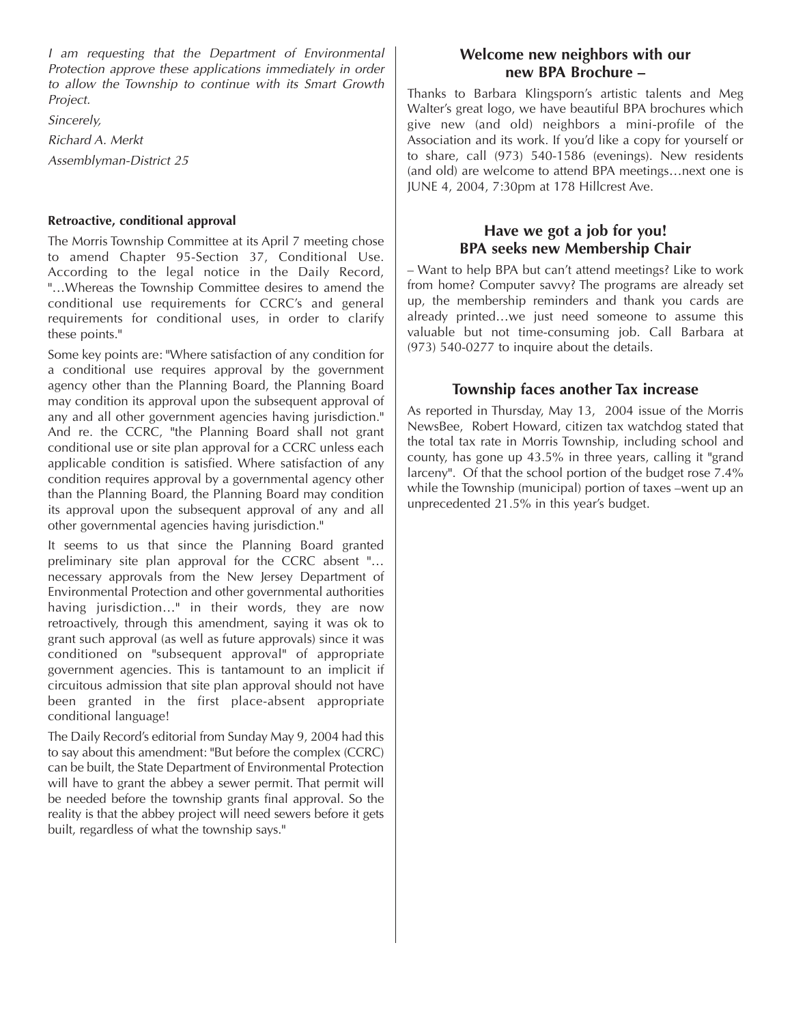*I am requesting that the Department of Environmental Protection approve these applications immediately in order to allow the Township to continue with its Smart Growth Project.*

*Sincerely,*

*Richard A. Merkt*

*Assemblyman-District 25*

#### **Retroactive, conditional approval**

The Morris Township Committee at its April 7 meeting chose to amend Chapter 95-Section 37, Conditional Use. According to the legal notice in the Daily Record, "…Whereas the Township Committee desires to amend the conditional use requirements for CCRC's and general requirements for conditional uses, in order to clarify these points."

Some key points are: "Where satisfaction of any condition for a conditional use requires approval by the government agency other than the Planning Board, the Planning Board may condition its approval upon the subsequent approval of any and all other government agencies having jurisdiction." And re. the CCRC, "the Planning Board shall not grant conditional use or site plan approval for a CCRC unless each applicable condition is satisfied. Where satisfaction of any condition requires approval by a governmental agency other than the Planning Board, the Planning Board may condition its approval upon the subsequent approval of any and all other governmental agencies having jurisdiction."

It seems to us that since the Planning Board granted preliminary site plan approval for the CCRC absent "… necessary approvals from the New Jersey Department of Environmental Protection and other governmental authorities having jurisdiction…" in their words, they are now retroactively, through this amendment, saying it was ok to grant such approval (as well as future approvals) since it was conditioned on "subsequent approval" of appropriate government agencies. This is tantamount to an implicit if circuitous admission that site plan approval should not have been granted in the first place-absent appropriate conditional language!

The Daily Record's editorial from Sunday May 9, 2004 had this to say about this amendment: "But before the complex (CCRC) can be built, the State Department of Environmental Protection will have to grant the abbey a sewer permit. That permit will be needed before the township grants final approval. So the reality is that the abbey project will need sewers before it gets built, regardless of what the township says."

## **Welcome new neighbors with our new BPA Brochure –**

Thanks to Barbara Klingsporn's artistic talents and Meg Walter's great logo, we have beautiful BPA brochures which give new (and old) neighbors a mini-profile of the Association and its work. If you'd like a copy for yourself or to share, call (973) 540-1586 (evenings). New residents (and old) are welcome to attend BPA meetings…next one is JUNE 4, 2004, 7:30pm at 178 Hillcrest Ave.

## **Have we got a job for you! BPA seeks new Membership Chair**

– Want to help BPA but can't attend meetings? Like to work from home? Computer savvy? The programs are already set up, the membership reminders and thank you cards are already printed…we just need someone to assume this valuable but not time-consuming job. Call Barbara at (973) 540-0277 to inquire about the details.

## **Township faces another Tax increase**

As reported in Thursday, May 13, 2004 issue of the Morris NewsBee, Robert Howard, citizen tax watchdog stated that the total tax rate in Morris Township, including school and county, has gone up 43.5% in three years, calling it "grand larceny". Of that the school portion of the budget rose 7.4% while the Township (municipal) portion of taxes –went up an unprecedented 21.5% in this year's budget.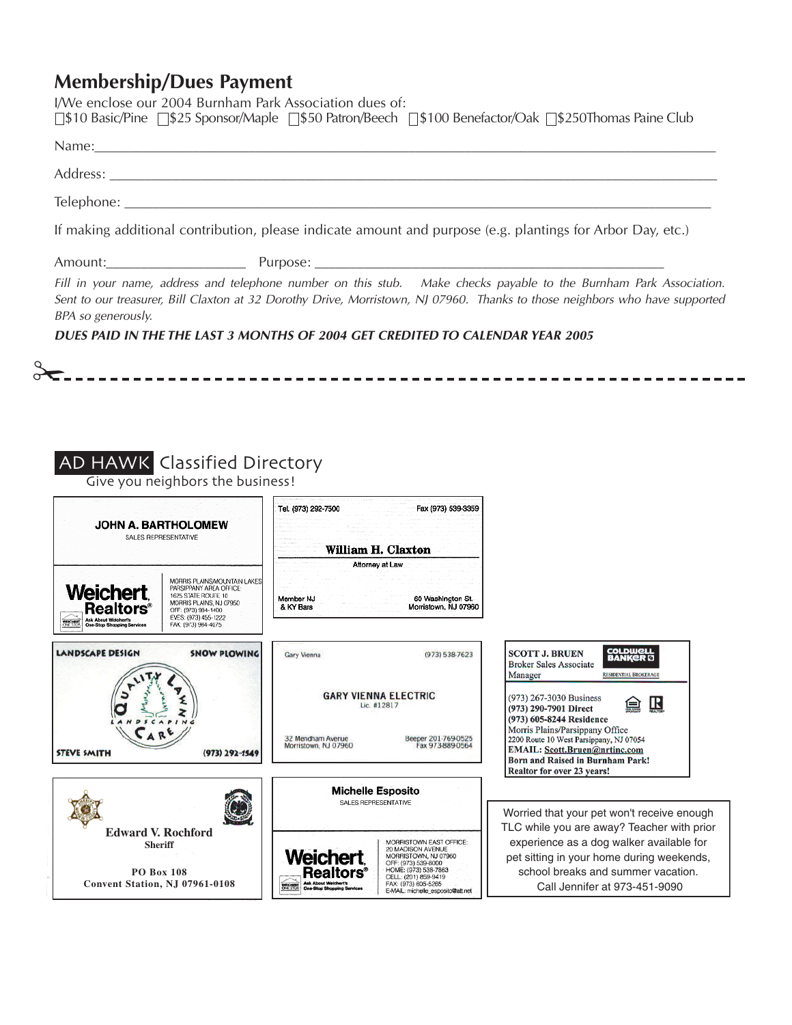## **Membership/Dues Payment**

I/We enclose our 2004 Burnham Park Association dues of:  $\Box$ **\$10 Basic/Pine**  $\Box$ **\$25 Sponsor/Maple**  $\Box$ **\$50 Patron/Beech**  $\Box$ **\$100 Benefactor/Oak**  $\Box$ **\$250Thomas Paine Club** Name:\_\_\_\_\_\_\_\_\_\_\_\_\_\_\_\_\_\_\_\_\_\_\_\_\_\_\_\_\_\_\_\_\_\_\_\_\_\_\_\_\_\_\_\_\_\_\_\_\_\_\_\_\_\_\_\_\_\_\_\_\_\_\_\_\_\_\_\_\_\_\_\_\_\_\_\_\_\_\_\_\_\_\_\_\_\_\_\_\_ Address: \_\_\_\_\_\_\_\_\_\_\_\_\_\_\_\_\_\_\_\_\_\_\_\_\_\_\_\_\_\_\_\_\_\_\_\_\_\_\_\_\_\_\_\_\_\_\_\_\_\_\_\_\_\_\_\_\_\_\_\_\_\_\_\_\_\_\_\_\_\_\_\_\_\_\_\_\_\_\_\_\_\_\_\_\_\_\_ Telephone: \_\_\_\_\_\_\_\_\_\_\_\_\_\_\_\_\_\_\_\_\_\_\_\_\_\_\_\_\_\_\_\_\_\_\_\_\_\_\_\_\_\_\_\_\_\_\_\_\_\_\_\_\_\_\_\_\_\_\_\_\_\_\_\_\_\_\_\_\_\_\_\_\_\_\_\_\_\_\_\_\_\_\_\_ If making additional contribution, please indicate amount and purpose (e.g. plantings for Arbor Day, etc.) Amount: The Purpose: *Fill in your name, address and telephone number on this stub. Make checks payable to the Burnham Park Association. Sent to our treasurer, Bill Claxton at 32 Dorothy Drive, Morristown, NJ 07960. Thanks to those neighbors who have supported BPA so generously. DUES PAID IN THE THE LAST 3 MONTHS OF 2004 GET CREDITED TO CALENDAR YEAR 2005*  $\frac{1}{2}$ 

----------

# AD HAWK Classified Directory

Give you neighbors the business!